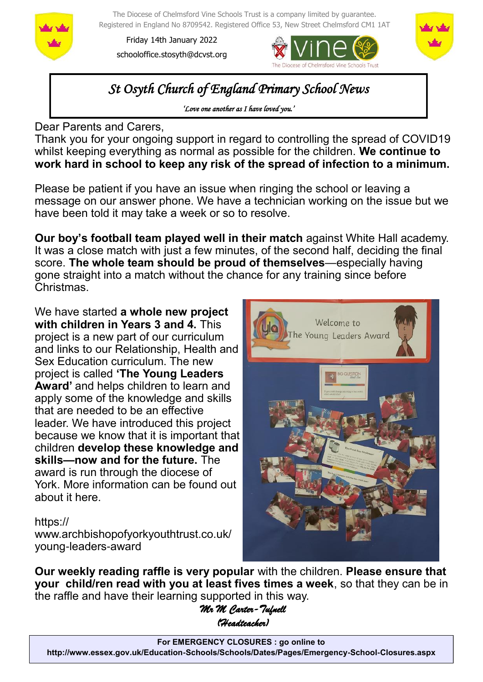

The Diocese of Chelmsford Vine Schools Trust is a company limited by guarantee. Registered in England No 8709542. Registered Office 53, New Street Chelmsford CM1 1AT

Friday 14th January 2022 schooloffice.stosyth@dcvst.org





*St Osyth Church of England Primary School News* 

*'Love one another as I have loved you.'* 

Dear Parents and Carers,

Thank you for your ongoing support in regard to controlling the spread of COVID19 whilst keeping everything as normal as possible for the children. **We continue to work hard in school to keep any risk of the spread of infection to a minimum.**

Please be patient if you have an issue when ringing the school or leaving a message on our answer phone. We have a technician working on the issue but we have been told it may take a week or so to resolve.

**Our boy's football team played well in their match** against White Hall academy. It was a close match with just a few minutes, of the second half, deciding the final score. **The whole team should be proud of themselves**—especially having gone straight into a match without the chance for any training since before Christmas.

We have started **a whole new project with children in Years 3 and 4.** This project is a new part of our curriculum and links to our Relationship, Health and Sex Education curriculum. The new project is called **'The Young Leaders Award'** and helps children to learn and apply some of the knowledge and skills that are needed to be an effective leader. We have introduced this project because we know that it is important that children **develop these knowledge and skills—now and for the future.** The award is run through the diocese of York. More information can be found out about it here.

# https://

www.archbishopofyorkyouthtrust.co.uk/ young-leaders-award



**Our weekly reading raffle is very popular** with the children. **Please ensure that your child/ren read with you at least fives times a week**, so that they can be in the raffle and have their learning supported in this way.

*Mr M Carter-Tufnell (Headteacher)*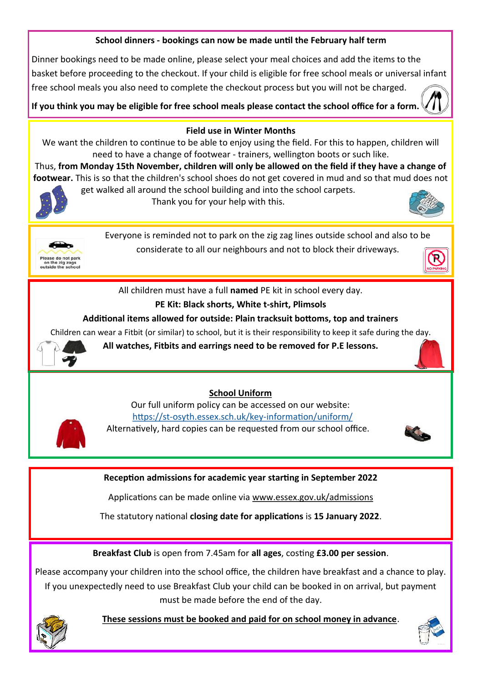## **School dinners - bookings can now be made until the February half term**

Dinner bookings need to be made online, please select your meal choices and add the items to the basket before proceeding to the checkout. If your child is eligible for free school meals or universal infant free school meals you also need to complete the checkout process but you will not be charged.

**If you think you may be eligible for free school meals please contact the school office for a form.** 



#### **Field use in Winter Months**

We want the children to continue to be able to enjoy using the field. For this to happen, children will need to have a change of footwear - trainers, wellington boots or such like.

Thus, **from Monday 15th November, children will only be allowed on the field if they have a change of footwear.** This is so that the children's school shoes do not get covered in mud and so that mud does not get walked all around the school building and into the school carpets.



Please do not park on the zig zags<br>outside the school Thank you for your help with this.

Everyone is reminded not to park on the zig zag lines outside school and also to be





All children must have a full **named** PE kit in school every day.

## **PE Kit: Black shorts, White t-shirt, Plimsols**

#### **Additional items allowed for outside: Plain tracksuit bottoms, top and trainers**

Children can wear a Fitbit (or similar) to school, but it is their responsibility to keep it safe during the day.



**All watches, Fitbits and earrings need to be removed for P.E lessons.**

#### **School Uniform**

Our full uniform policy can be accessed on our website: https://st-[osyth.essex.sch.uk/key](https://st-osyth.essex.sch.uk/key-information/uniform/)-information/uniform/ Alternatively, hard copies can be requested from our school office.



#### **Reception admissions for academic year starting in September 2022**

Applications can be made online via [www.essex.gov.uk/admissions](https://gbr01.safelinks.protection.outlook.com/?url=http%3A%2F%2Fwww.essex.gov.uk%2Fadmissions&data=04%7C01%7Cschooloffice.stosyth%40dcvst.org%7Cd9dfd22d78a64e7d492d08d9a046cdd1%7C282c78034b8f4fbda3841682df47e3ad%7C1%7C0%7C637717048224412247%7CUnknown%7CTWFpb) 

The statutory national **closing date for applications** is **15 January 2022**.

**Breakfast Club** is open from 7.45am for **all ages**, costing **£3.00 per session**.

Please accompany your children into the school office, the children have breakfast and a chance to play. If you unexpectedly need to use Breakfast Club your child can be booked in on arrival, but payment must be made before the end of the day.



 **These sessions must be booked and paid for on school money in advance**.